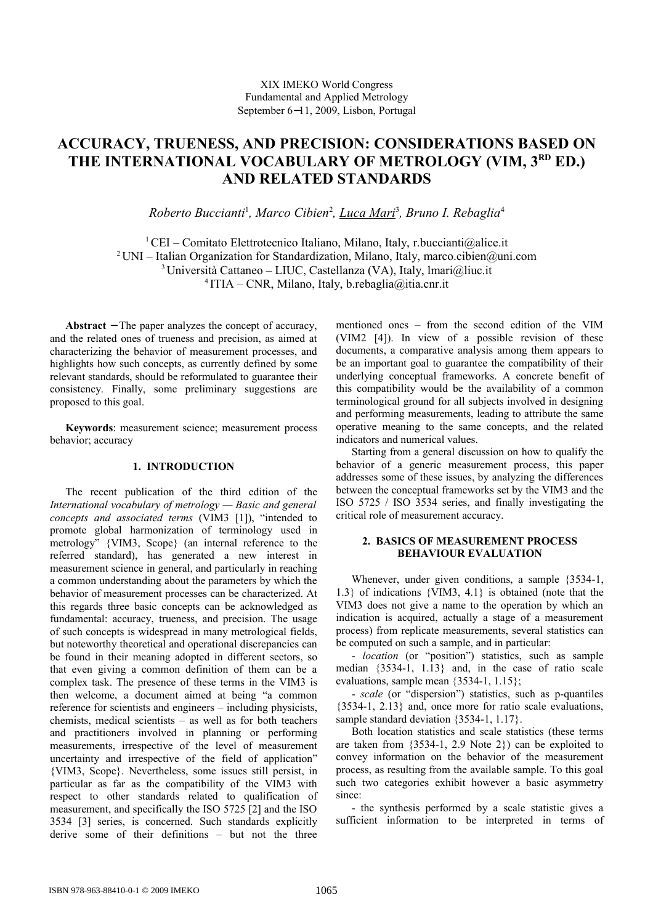# **ACCURACY, TRUENESS, AND PRECISION: CONSIDERATIONS BASED ON** THE INTERNATIONAL VOCABULARY OF METROLOGY (VIM, 3<sup>RD</sup> ED.) **AND RELATED STANDARDS**

*Roberto Buccianti*<sup>1</sup> *, Marco Cibien*<sup>2</sup> *, Luca Mari*<sup>3</sup> *, Bruno I. Rebaglia*<sup>4</sup>

<sup>1</sup> CEI – Comitato Elettrotecnico Italiano, Milano, Italy, r.buccianti@alice.it <sup>2</sup> UNI – Italian Organization for Standardization, Milano, Italy, marco.cibien@uni.com <sup>3</sup> Università Cattaneo – LIUC, Castellanza (VA), Italy, Imari@liuc.it  $4$ ITIA – CNR, Milano, Italy, b.rebaglia@itia.cnr.it

**Abstract** − The paper analyzes the concept of accuracy, and the related ones of trueness and precision, as aimed at characterizing the behavior of measurement processes, and highlights how such concepts, as currently defined by some relevant standards, should be reformulated to guarantee their consistency. Finally, some preliminary suggestions are proposed to this goal.

**Keywords**: measurement science; measurement process behavior; accuracy

# **1. INTRODUCTION**

The recent publication of the third edition of the *International vocabulary of metrology — Basic and general concepts and associated terms* (VIM3 [1]), "intended to promote global harmonization of terminology used in metrology" {VIM3, Scope} (an internal reference to the referred standard), has generated a new interest in measurement science in general, and particularly in reaching a common understanding about the parameters by which the behavior of measurement processes can be characterized. At this regards three basic concepts can be acknowledged as fundamental: accuracy, trueness, and precision. The usage of such concepts is widespread in many metrological fields, but noteworthy theoretical and operational discrepancies can be found in their meaning adopted in different sectors, so that even giving a common definition of them can be a complex task. The presence of these terms in the VIM3 is then welcome, a document aimed at being "a common reference for scientists and engineers – including physicists, chemists, medical scientists – as well as for both teachers and practitioners involved in planning or performing measurements, irrespective of the level of measurement uncertainty and irrespective of the field of application" {VIM3, Scope}. Nevertheless, some issues still persist, in particular as far as the compatibility of the VIM3 with respect to other standards related to qualification of measurement, and specifically the ISO 5725 [2] and the ISO 3534 [3] series, is concerned. Such standards explicitly derive some of their definitions – but not the three

mentioned ones – from the second edition of the VIM (VIM2 [4]). In view of a possible revision of these documents, a comparative analysis among them appears to be an important goal to guarantee the compatibility of their underlying conceptual frameworks. A concrete benefit of this compatibility would be the availability of a common terminological ground for all subjects involved in designing and performing measurements, leading to attribute the same operative meaning to the same concepts, and the related indicators and numerical values.

Starting from a general discussion on how to qualify the behavior of a generic measurement process, this paper addresses some of these issues, by analyzing the differences between the conceptual frameworks set by the VIM3 and the ISO 5725 / ISO 3534 series, and finally investigating the critical role of measurement accuracy.

## **2. BASICS OF MEASUREMENT PROCESS BEHAVIOUR EVALUATION**

Whenever, under given conditions, a sample {3534-1, 1.3} of indications {VIM3, 4.1} is obtained (note that the VIM3 does not give a name to the operation by which an indication is acquired, actually a stage of a measurement process) from replicate measurements, several statistics can be computed on such a sample, and in particular:

- *location* (or "position") statistics, such as sample median {3534-1, 1.13} and, in the case of ratio scale evaluations, sample mean {3534-1, 1.15};

- *scale* (or "dispersion") statistics, such as p-quantiles {3534-1, 2.13} and, once more for ratio scale evaluations, sample standard deviation  $\{3534-1, 1.17\}$ .

Both location statistics and scale statistics (these terms are taken from {3534-1, 2.9 Note 2}) can be exploited to convey information on the behavior of the measurement process, as resulting from the available sample. To this goal such two categories exhibit however a basic asymmetry since:

- the synthesis performed by a scale statistic gives a sufficient information to be interpreted in terms of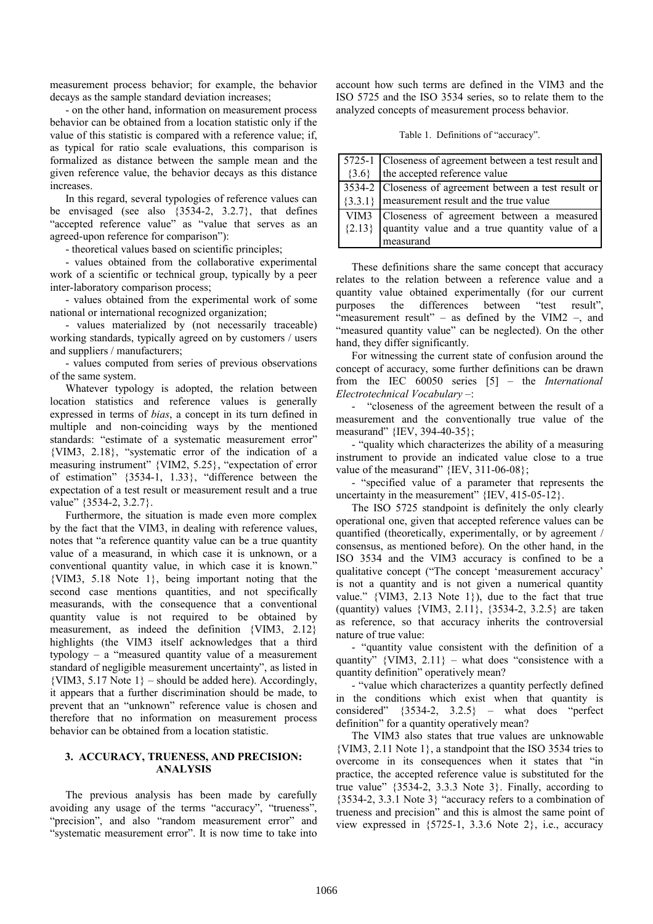measurement process behavior; for example, the behavior decays as the sample standard deviation increases;

- on the other hand, information on measurement process behavior can be obtained from a location statistic only if the value of this statistic is compared with a reference value; if, as typical for ratio scale evaluations, this comparison is formalized as distance between the sample mean and the given reference value, the behavior decays as this distance increases.

In this regard, several typologies of reference values can be envisaged (see also {3534-2, 3.2.7}, that defines "accepted reference value" as "value that serves as an agreed-upon reference for comparison"):

- theoretical values based on scientific principles;

- values obtained from the collaborative experimental work of a scientific or technical group, typically by a peer inter-laboratory comparison process;

- values obtained from the experimental work of some national or international recognized organization;

- values materialized by (not necessarily traceable) working standards, typically agreed on by customers / users and suppliers / manufacturers;

- values computed from series of previous observations of the same system.

Whatever typology is adopted, the relation between location statistics and reference values is generally expressed in terms of *bias*, a concept in its turn defined in multiple and non-coinciding ways by the mentioned standards: "estimate of a systematic measurement error" {VIM3, 2.18}, "systematic error of the indication of a measuring instrument" {VIM2, 5.25}, "expectation of error of estimation" {3534-1, 1.33}, "difference between the expectation of a test result or measurement result and a true value" {3534-2, 3.2.7}.

Furthermore, the situation is made even more complex by the fact that the VIM3, in dealing with reference values, notes that "a reference quantity value can be a true quantity value of a measurand, in which case it is unknown, or a conventional quantity value, in which case it is known." {VIM3, 5.18 Note 1}, being important noting that the second case mentions quantities, and not specifically measurands, with the consequence that a conventional quantity value is not required to be obtained by measurement, as indeed the definition {VIM3, 2.12} highlights (the VIM3 itself acknowledges that a third typology – a "measured quantity value of a measurement standard of negligible measurement uncertainty", as listed in  $\{VIM3, 5.17 \text{ Note } 1\}$  – should be added here). Accordingly, it appears that a further discrimination should be made, to prevent that an "unknown" reference value is chosen and therefore that no information on measurement process behavior can be obtained from a location statistic.

### **3. ACCURACY, TRUENESS, AND PRECISION: ANALYSIS**

The previous analysis has been made by carefully avoiding any usage of the terms "accuracy", "trueness", "precision", and also "random measurement error" and "systematic measurement error". It is now time to take into

account how such terms are defined in the VIM3 and the ISO 5725 and the ISO 3534 series, so to relate them to the analyzed concepts of measurement process behavior.

Table 1. Definitions of "accuracy".

| 5725-1 Closeness of agreement between a test result and    |
|------------------------------------------------------------|
| $\{3.6\}$ the accepted reference value                     |
| 3534-2 Closeness of agreement between a test result or     |
| $\left[3.3.1\right]$ measurement result and the true value |
| VIM3 Closeness of agreement between a measured             |
| $\{2.13\}$ quantity value and a true quantity value of a   |
| measurand                                                  |

These definitions share the same concept that accuracy relates to the relation between a reference value and a quantity value obtained experimentally (for our current purposes the differences between "test result", "measurement result" – as defined by the VIM2 –, and "measured quantity value" can be neglected). On the other hand, they differ significantly.

For witnessing the current state of confusion around the concept of accuracy, some further definitions can be drawn from the IEC 60050 series [5] – the *International Electrotechnical Vocabulary* –:

- "closeness of the agreement between the result of a measurement and the conventionally true value of the measurand" {IEV, 394-40-35};

- "quality which characterizes the ability of a measuring instrument to provide an indicated value close to a true value of the measurand" {IEV, 311-06-08};

- "specified value of a parameter that represents the uncertainty in the measurement"  ${IEV, 415-05-12}.$ 

The ISO 5725 standpoint is definitely the only clearly operational one, given that accepted reference values can be quantified (theoretically, experimentally, or by agreement / consensus, as mentioned before). On the other hand, in the ISO 3534 and the VIM3 accuracy is confined to be a qualitative concept ("The concept 'measurement accuracy' is not a quantity and is not given a numerical quantity value." {VIM3, 2.13 Note 1}), due to the fact that true (quantity) values {VIM3, 2.11}, {3534-2, 3.2.5} are taken as reference, so that accuracy inherits the controversial nature of true value:

- "quantity value consistent with the definition of a quantity"  $\{VIM3, 2.11\}$  – what does "consistence with a quantity definition" operatively mean?

- "value which characterizes a quantity perfectly defined in the conditions which exist when that quantity is considered" {3534-2, 3.2.5} – what does "perfect definition" for a quantity operatively mean?

The VIM3 also states that true values are unknowable {VIM3, 2.11 Note 1}, a standpoint that the ISO 3534 tries to overcome in its consequences when it states that "in practice, the accepted reference value is substituted for the true value" {3534-2, 3.3.3 Note 3}. Finally, according to {3534-2, 3.3.1 Note 3} "accuracy refers to a combination of trueness and precision" and this is almost the same point of view expressed in {5725-1, 3.3.6 Note 2}, i.e., accuracy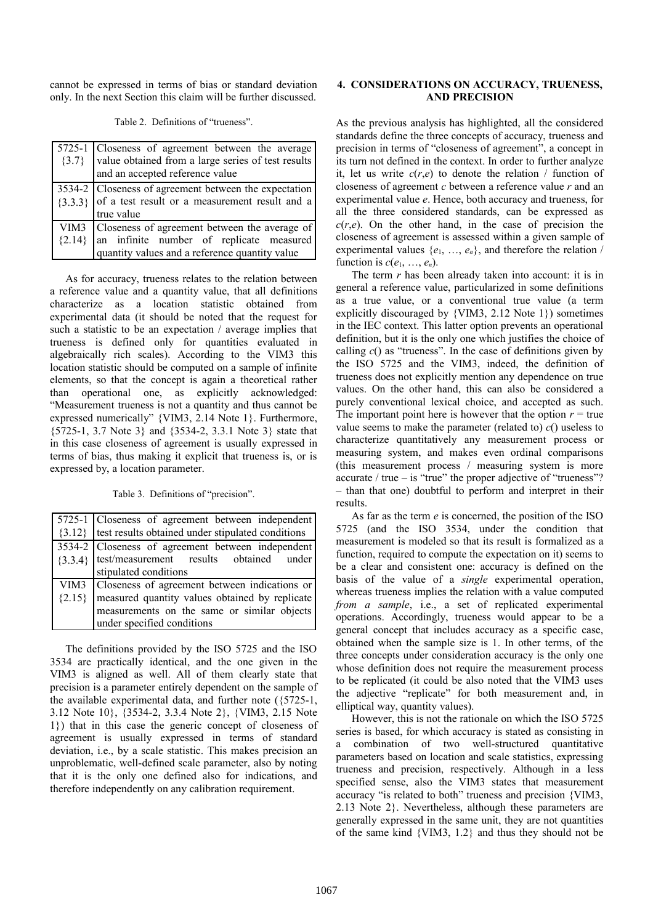cannot be expressed in terms of bias or standard deviation only. In the next Section this claim will be further discussed.

| $\{3.7\}$ | 5725-1 Closeness of agreement between the average<br>value obtained from a large series of test results<br>and an accepted reference value |
|-----------|--------------------------------------------------------------------------------------------------------------------------------------------|
|           | 3534-2 Closeness of agreement between the expectation                                                                                      |
|           | $\{3.3.3\}$ of a test result or a measurement result and a                                                                                 |
|           | true value                                                                                                                                 |
|           | VIM3   Closeness of agreement between the average of                                                                                       |
| ${2.14}$  | an infinite number of replicate measured<br>quantity values and a reference quantity value                                                 |
|           |                                                                                                                                            |

As for accuracy, trueness relates to the relation between a reference value and a quantity value, that all definitions characterize as a location statistic obtained from experimental data (it should be noted that the request for such a statistic to be an expectation / average implies that trueness is defined only for quantities evaluated in algebraically rich scales). According to the VIM3 this location statistic should be computed on a sample of infinite elements, so that the concept is again a theoretical rather than operational one, as explicitly acknowledged: "Measurement trueness is not a quantity and thus cannot be expressed numerically" {VIM3, 2.14 Note 1}. Furthermore, {5725-1, 3.7 Note 3} and {3534-2, 3.3.1 Note 3} state that in this case closeness of agreement is usually expressed in terms of bias, thus making it explicit that trueness is, or is expressed by, a location parameter.

Table 3. Definitions of "precision".

|          | [5725-1 Closeness of agreement between independent]          |
|----------|--------------------------------------------------------------|
|          | $\{3.12\}$ lest results obtained under stipulated conditions |
|          | 3534-2 Closeness of agreement between independent            |
|          | {3.3.4}   test/measurement results obtained under            |
|          | stipulated conditions                                        |
|          | VIM3   Closeness of agreement between indications or         |
| ${2.15}$ | measured quantity values obtained by replicate               |
|          | measurements on the same or similar objects                  |
|          | under specified conditions                                   |

The definitions provided by the ISO 5725 and the ISO 3534 are practically identical, and the one given in the VIM3 is aligned as well. All of them clearly state that precision is a parameter entirely dependent on the sample of the available experimental data, and further note ({5725-1, 3.12 Note 10}, {3534-2, 3.3.4 Note 2}, {VIM3, 2.15 Note 1}) that in this case the generic concept of closeness of agreement is usually expressed in terms of standard deviation, i.e., by a scale statistic. This makes precision an unproblematic, well-defined scale parameter, also by noting that it is the only one defined also for indications, and therefore independently on any calibration requirement.

## **4. CONSIDERATIONS ON ACCURACY, TRUENESS, AND PRECISION**

As the previous analysis has highlighted, all the considered standards define the three concepts of accuracy, trueness and precision in terms of "closeness of agreement", a concept in its turn not defined in the context. In order to further analyze it, let us write  $c(r,e)$  to denote the relation / function of closeness of agreement *c* between a reference value *r* and an experimental value *e*. Hence, both accuracy and trueness, for all the three considered standards, can be expressed as  $c(r,e)$ . On the other hand, in the case of precision the closeness of agreement is assessed within a given sample of experimental values  $\{e_1, \ldots, e_n\}$ , and therefore the relation / function is  $c(e_1, ..., e_n)$ .

The term *r* has been already taken into account: it is in general a reference value, particularized in some definitions as a true value, or a conventional true value (a term explicitly discouraged by {VIM3, 2.12 Note 1}) sometimes in the IEC context. This latter option prevents an operational definition, but it is the only one which justifies the choice of calling *c*() as "trueness". In the case of definitions given by the ISO 5725 and the VIM3, indeed, the definition of trueness does not explicitly mention any dependence on true values. On the other hand, this can also be considered a purely conventional lexical choice, and accepted as such. The important point here is however that the option  $r = true$ value seems to make the parameter (related to) *c*() useless to characterize quantitatively any measurement process or measuring system, and makes even ordinal comparisons (this measurement process / measuring system is more accurate / true – is "true" the proper adjective of "trueness"? – than that one) doubtful to perform and interpret in their results.

As far as the term *e* is concerned, the position of the ISO 5725 (and the ISO 3534, under the condition that measurement is modeled so that its result is formalized as a function, required to compute the expectation on it) seems to be a clear and consistent one: accuracy is defined on the basis of the value of a *single* experimental operation, whereas trueness implies the relation with a value computed *from a sample*, i.e., a set of replicated experimental operations. Accordingly, trueness would appear to be a general concept that includes accuracy as a specific case, obtained when the sample size is 1. In other terms, of the three concepts under consideration accuracy is the only one whose definition does not require the measurement process to be replicated (it could be also noted that the VIM3 uses the adjective "replicate" for both measurement and, in elliptical way, quantity values).

However, this is not the rationale on which the ISO 5725 series is based, for which accuracy is stated as consisting in a combination of two well-structured quantitative parameters based on location and scale statistics, expressing trueness and precision, respectively. Although in a less specified sense, also the VIM3 states that measurement accuracy "is related to both" trueness and precision {VIM3, 2.13 Note 2}. Nevertheless, although these parameters are generally expressed in the same unit, they are not quantities of the same kind {VIM3, 1.2} and thus they should not be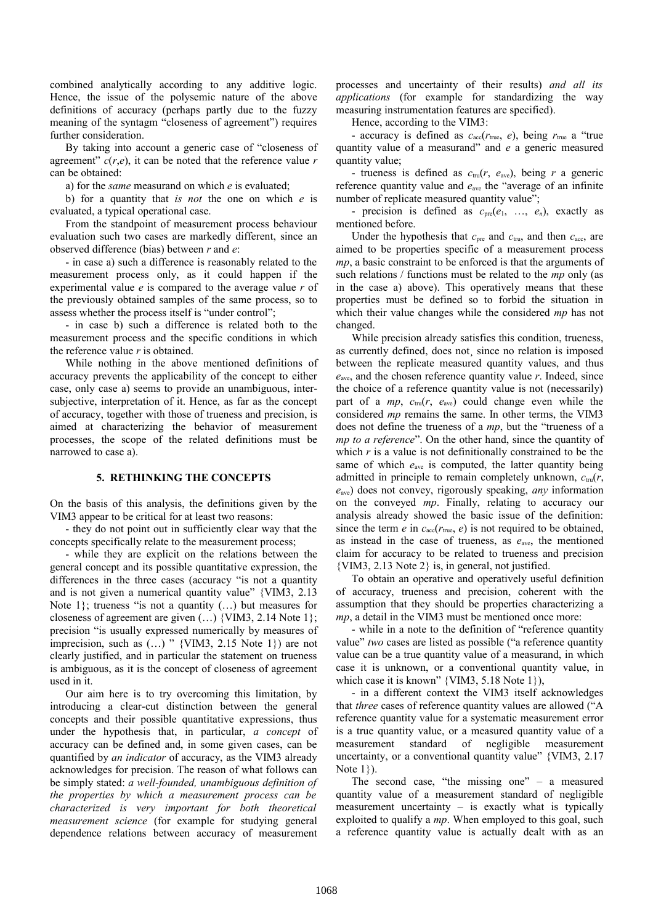combined analytically according to any additive logic. Hence, the issue of the polysemic nature of the above definitions of accuracy (perhaps partly due to the fuzzy meaning of the syntagm "closeness of agreement") requires further consideration.

By taking into account a generic case of "closeness of agreement"  $c(r,e)$ , it can be noted that the reference value  $r$ can be obtained:

a) for the *same* measurand on which *e* is evaluated;

b) for a quantity that *is not* the one on which *e* is evaluated, a typical operational case.

From the standpoint of measurement process behaviour evaluation such two cases are markedly different, since an observed difference (bias) between *r* and *e*:

- in case a) such a difference is reasonably related to the measurement process only, as it could happen if the experimental value *e* is compared to the average value *r* of the previously obtained samples of the same process, so to assess whether the process itself is "under control";

- in case b) such a difference is related both to the measurement process and the specific conditions in which the reference value *r* is obtained.

While nothing in the above mentioned definitions of accuracy prevents the applicability of the concept to either case, only case a) seems to provide an unambiguous, intersubjective, interpretation of it. Hence, as far as the concept of accuracy, together with those of trueness and precision, is aimed at characterizing the behavior of measurement processes, the scope of the related definitions must be narrowed to case a).

## **5. RETHINKING THE CONCEPTS**

On the basis of this analysis, the definitions given by the VIM3 appear to be critical for at least two reasons:

- they do not point out in sufficiently clear way that the concepts specifically relate to the measurement process;

- while they are explicit on the relations between the general concept and its possible quantitative expression, the differences in the three cases (accuracy "is not a quantity and is not given a numerical quantity value" {VIM3, 2.13 Note  $1$ ; trueness "is not a quantity  $(...)$  but measures for closeness of agreement are given (…) {VIM3, 2.14 Note 1}; precision "is usually expressed numerically by measures of imprecision, such as  $(...)$  " {VIM3, 2.15 Note 1}) are not clearly justified, and in particular the statement on trueness is ambiguous, as it is the concept of closeness of agreement used in it.

Our aim here is to try overcoming this limitation, by introducing a clear-cut distinction between the general concepts and their possible quantitative expressions, thus under the hypothesis that, in particular, *a concept* of accuracy can be defined and, in some given cases, can be quantified by *an indicator* of accuracy, as the VIM3 already acknowledges for precision. The reason of what follows can be simply stated: *a well-founded, unambiguous definition of the properties by which a measurement process can be characterized is very important for both theoretical measurement science* (for example for studying general dependence relations between accuracy of measurement processes and uncertainty of their results) *and all its applications* (for example for standardizing the way measuring instrumentation features are specified).

Hence, according to the VIM3:

- accuracy is defined as  $c_{\text{acc}}(r_{\text{true}}, e)$ , being  $r_{\text{true}}$  a "true quantity value of a measurand" and *e* a generic measured quantity value;

- trueness is defined as  $c_{\text{tru}}(r, e_{\text{ave}})$ , being *r* a generic reference quantity value and *e*ave the "average of an infinite number of replicate measured quantity value";

- precision is defined as  $c_{pre}(e_1, ..., e_n)$ , exactly as mentioned before.

Under the hypothesis that  $c_{pre}$  and  $c_{tru}$ , and then  $c_{acc}$ , are aimed to be properties specific of a measurement process *mp*, a basic constraint to be enforced is that the arguments of such relations / functions must be related to the *mp* only (as in the case a) above). This operatively means that these properties must be defined so to forbid the situation in which their value changes while the considered *mp* has not changed.

While precision already satisfies this condition, trueness, as currently defined, does not¸ since no relation is imposed between the replicate measured quantity values, and thus *e*ave, and the chosen reference quantity value *r*. Indeed, since the choice of a reference quantity value is not (necessarily) part of a  $mp$ ,  $c_{\text{tru}}(r, e_{\text{ave}})$  could change even while the considered *mp* remains the same. In other terms, the VIM3 does not define the trueness of a *mp*, but the "trueness of a *mp to a reference*". On the other hand, since the quantity of which  $r$  is a value is not definitionally constrained to be the same of which  $e_{\text{ave}}$  is computed, the latter quantity being admitted in principle to remain completely unknown,  $c_{\text{tru}}(r)$ , *e*ave) does not convey, rigorously speaking, *any* information on the conveyed *mp*. Finally, relating to accuracy our analysis already showed the basic issue of the definition: since the term  $e$  in  $c_{\text{acc}}(r_{\text{true}}, e)$  is not required to be obtained, as instead in the case of trueness, as *e*ave, the mentioned claim for accuracy to be related to trueness and precision {VIM3, 2.13 Note 2} is, in general, not justified.

To obtain an operative and operatively useful definition of accuracy, trueness and precision, coherent with the assumption that they should be properties characterizing a *mp*, a detail in the VIM3 must be mentioned once more:

- while in a note to the definition of "reference quantity value" *two* cases are listed as possible ("a reference quantity value can be a true quantity value of a measurand, in which case it is unknown, or a conventional quantity value, in which case it is known" {VIM3, 5.18 Note 1}),

- in a different context the VIM3 itself acknowledges that *three* cases of reference quantity values are allowed ("A reference quantity value for a systematic measurement error is a true quantity value, or a measured quantity value of a measurement standard of negligible measurement uncertainty, or a conventional quantity value" {VIM3, 2.17 Note 1}).

The second case, "the missing one" – a measured quantity value of a measurement standard of negligible measurement uncertainty – is exactly what is typically exploited to qualify a *mp*. When employed to this goal, such a reference quantity value is actually dealt with as an